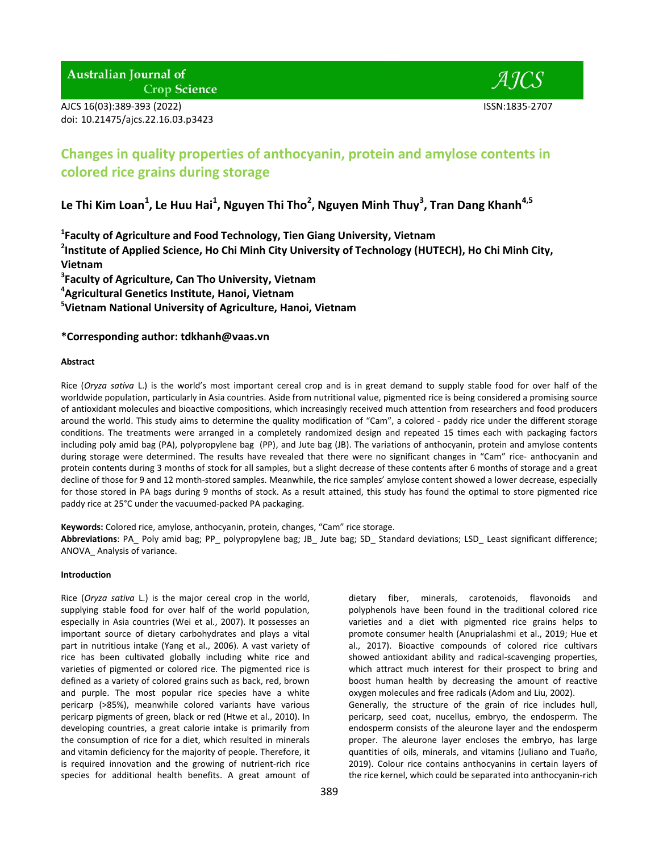**Australian Journal of Crop Science** 

AJCS 16(03):389-393 (2022) ISSN:1835-2707 doi: 10.21475/ajcs.22.16.03.p3423



# **Changes in quality properties of anthocyanin, protein and amylose contents in colored rice grains during storage**

**Le Thi Kim Loan<sup>1</sup> , Le Huu Hai<sup>1</sup> , Nguyen Thi Tho<sup>2</sup> , Nguyen Minh Thuy<sup>3</sup> , Tran Dang Khanh4,5**

**1 Faculty of Agriculture and Food Technology, Tien Giang University, Vietnam**

**2 Institute of Applied Science, Ho Chi Minh City University of Technology (HUTECH), Ho Chi Minh City, Vietnam**

**3 Faculty of Agriculture, Can Tho University, Vietnam**

**4 Agricultural Genetics Institute, Hanoi, Vietnam**

**5 Vietnam National University of Agriculture, Hanoi, Vietnam**

## **\*Corresponding author: tdkhanh@vaas.vn**

## **Abstract**

Rice (*Oryza sativa* L.) is the world's most important cereal crop and is in great demand to supply stable food for over half of the worldwide population, particularly in Asia countries. Aside from nutritional value, pigmented rice is being considered a promising source of antioxidant molecules and bioactive compositions, which increasingly received much attention from researchers and food producers around the world. This study aims to determine the quality modification of "Cam", a colored - paddy rice under the different storage conditions. The treatments were arranged in a completely randomized design and repeated 15 times each with packaging factors including poly amid bag (PA), polypropylene bag (PP), and Jute bag (JB). The variations of anthocyanin, protein and amylose contents during storage were determined. The results have revealed that there were no significant changes in "Cam" rice- anthocyanin and protein contents during 3 months of stock for all samples, but a slight decrease of these contents after 6 months of storage and a great decline of those for 9 and 12 month-stored samples. Meanwhile, the rice samples' amylose content showed a lower decrease, especially for those stored in PA bags during 9 months of stock. As a result attained, this study has found the optimal to store pigmented rice paddy rice at 25°C under the vacuumed-packed PA packaging.

**Keywords:** Colored rice, amylose, anthocyanin, protein, changes, "Cam" rice storage. **Abbreviations**: PA\_ Poly amid bag; PP\_ polypropylene bag; JB\_ Jute bag; SD\_ Standard deviations; LSD\_ Least significant difference; ANOVA\_ Analysis of variance.

## **Introduction**

Rice (*Oryza sativa* L.) is the major cereal crop in the world, supplying stable food for over half of the world population, especially in Asia countries (Wei et al., 2007). It possesses an important source of dietary carbohydrates and plays a vital part in nutritious intake (Yang et al., 2006). A vast variety of rice has been cultivated globally including white rice and varieties of pigmented or colored rice. The pigmented rice is defined as a variety of colored grains such as back, red, brown and purple. The most popular rice species have a white pericarp (>85%), meanwhile colored variants have various pericarp pigments of green, black or red (Htwe et al., 2010). In developing countries, a great calorie intake is primarily from the consumption of rice for a diet, which resulted in minerals and vitamin deficiency for the majority of people. Therefore, it is required innovation and the growing of nutrient-rich rice species for additional health benefits. A great amount of dietary fiber, minerals, carotenoids, flavonoids and polyphenols have been found in the traditional colored rice varieties and a diet with pigmented rice grains helps to promote consumer health (Anuprialashmi et al., 2019; Hue et al., 2017). Bioactive compounds of colored rice cultivars showed antioxidant ability and radical-scavenging properties, which attract much interest for their prospect to bring and boost human health by decreasing the amount of reactive oxygen molecules and free radicals (Adom and Liu, 2002). Generally, the structure of the grain of rice includes hull,

pericarp, seed coat, nucellus, embryo, the endosperm. The endosperm consists of the aleurone layer and the endosperm proper. The aleurone layer encloses the embryo, has large quantities of oils, minerals, and vitamins (Juliano and Tuaño, 2019). Colour rice contains anthocyanins in certain layers of the rice kernel, which could be separated into anthocyanin-rich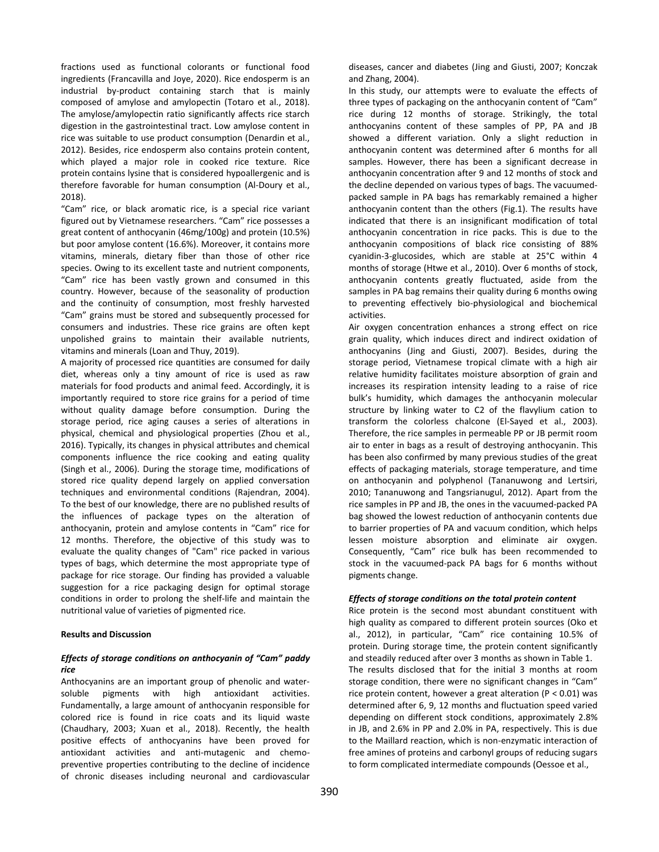fractions used as functional colorants or functional food ingredients (Francavilla and Joye, 2020). Rice endosperm is an industrial by-product containing starch that is mainly composed of amylose and amylopectin [\(Totaro](https://www.sciencedirect.com/science/article/abs/pii/S1359836816316365#!) et al., 2018). The amylose/amylopectin ratio significantly affects rice starch digestion in the gastrointestinal tract. Low amylose content in rice was suitable to use product consumption (Denardin et al., 2012). Besides, rice endosperm also contains protein content, which played a major role in cooked rice texture. Rice protein contains lysine that is considered hypoallergenic and is therefore favorable for human consumption (Al-Doury et al., 2018).

"Cam" rice, or black aromatic rice, is a special rice variant figured out by Vietnamese researchers. "Cam" rice possesses a great content of anthocyanin (46mg/100g) and protein (10.5%) but poor amylose content (16.6%). Moreover, it contains more vitamins, minerals, dietary fiber than those of other rice species. Owing to its excellent taste and nutrient components, "Cam" rice has been vastly grown and consumed in this country. However, because of the seasonality of production and the continuity of consumption, most freshly harvested "Cam" grains must be stored and subsequently processed for consumers and industries. These rice grains are often kept unpolished grains to maintain their available nutrients, vitamins and minerals (Loan and Thuy, 2019).

A majority of processed rice quantities are consumed for daily diet, whereas only a tiny amount of rice is used as raw materials for food products and animal feed. Accordingly, it is importantly required to store rice grains for a period of time without quality damage before consumption. During the storage period, rice aging causes a series of alterations in physical, chemical and physiological properties (Zhou et al., 2016). Typically, its changes in physical attributes and chemical components influence the rice cooking and eating quality (Singh et al., 2006). During the storage time, modifications of stored rice quality depend largely on applied conversation techniques and environmental conditions (Rajendran, 2004). To the best of our knowledge, there are no published results of the influences of package types on the alteration of anthocyanin, protein and amylose contents in "Cam" rice for 12 months. Therefore, the objective of this study was to evaluate the quality changes of "Cam" rice packed in various types of bags, which determine the most appropriate type of package for rice storage. Our finding has provided a valuable suggestion for a rice packaging design for optimal storage conditions in order to prolong the shelf-life and maintain the nutritional value of varieties of pigmented rice.

## **Results and Discussion**

## *Effects of storage conditions on anthocyanin of "Cam" paddy rice*

Anthocyanins are an important group of phenolic and watersoluble pigments with high antioxidant activities. Fundamentally, a large amount of anthocyanin responsible for colored rice is found in rice coats and its liquid waste (Chaudhary, 2003; Xuan et al., 2018). Recently, the health positive effects of anthocyanins have been proved for antioxidant activities and anti-mutagenic and chemopreventive properties contributing to the decline of incidence of chronic diseases including neuronal and cardiovascular diseases, cancer and diabetes (Jing and Giusti, 2007; Konczak and Zhang, 2004).

In this study, our attempts were to evaluate the effects of three types of packaging on the anthocyanin content of "Cam" rice during 12 months of storage. Strikingly, the total anthocyanins content of these samples of PP, PA and JB showed a different variation. Only a slight reduction in anthocyanin content was determined after 6 months for all samples. However, there has been a significant decrease in anthocyanin concentration after 9 and 12 months of stock and the decline depended on various types of bags. The vacuumedpacked sample in PA bags has remarkably remained a higher anthocyanin content than the others (Fig.1). The results have indicated that there is an insignificant modification of total anthocyanin concentration in rice packs. This is due to the anthocyanin compositions of black rice consisting of 88% cyanidin-3-glucosides, which are stable at 25°C within 4 months of storage (Htwe et al., 2010). Over 6 months of stock, anthocyanin contents greatly fluctuated, aside from the samples in PA bag remains their quality during 6 months owing to preventing effectively bio-physiological and biochemical activities.

Air oxygen concentration enhances a strong effect on rice grain quality, which induces direct and indirect oxidation of anthocyanins (Jing and Giusti, 2007). Besides, during the storage period, Vietnamese tropical climate with a high air relative humidity facilitates moisture absorption of grain and increases its respiration intensity leading to a raise of rice bulk's humidity, which damages the anthocyanin molecular structure by linking water to C2 of the flavylium cation to transform the colorless chalcone (El-Sayed et al., 2003). Therefore, the rice samples in permeable PP or JB permit room air to enter in bags as a result of destroying anthocyanin. This has been also confirmed by many previous studies of the great effects of packaging materials, storage temperature, and time on anthocyanin and polyphenol (Tananuwong and Lertsiri, 2010; Tananuwong and Tangsrianugul, 2012). Apart from the rice samples in PP and JB, the ones in the vacuumed-packed PA bag showed the lowest reduction of anthocyanin contents due to barrier properties of PA and vacuum condition, which helps lessen moisture absorption and eliminate air oxygen. Consequently, "Cam" rice bulk has been recommended to stock in the vacuumed-pack PA bags for 6 months without pigments change.

## *Effects of storage conditions on the total protein content*

Rice protein is the second most abundant constituent with high quality as compared to different protein sources (Oko et al., 2012), in particular, "Cam" rice containing 10.5% of protein. During storage time, the protein content significantly and steadily reduced after over 3 months as shown in Table 1. The results disclosed that for the initial 3 months at room storage condition, there were no significant changes in "Cam" rice protein content, however a great alteration (P < 0.01) was determined after 6, 9, 12 months and fluctuation speed varied depending on different stock conditions, approximately 2.8% in JB, and 2.6% in PP and 2.0% in PA, respectively. This is due to the Maillard reaction, which is non-enzymatic interaction of free amines of proteins and carbonyl groups of reducing sugars to form complicated intermediate compounds (Oessoe et al.,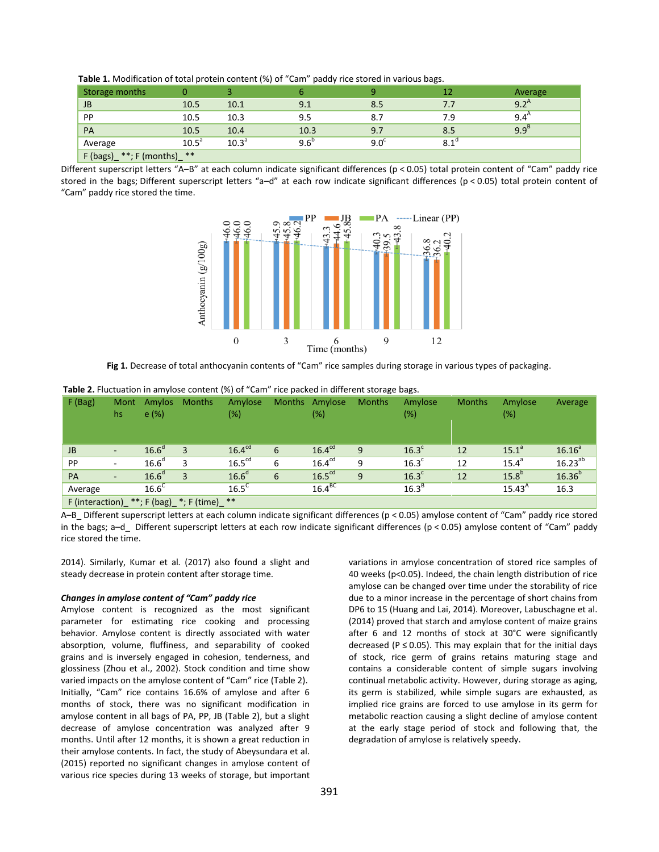| Storage months               | 0                 |                |               | a           | 12          | Average              |
|------------------------------|-------------------|----------------|---------------|-------------|-------------|----------------------|
| <b>JB</b>                    | 10.5              | 10.1           | 9.1           | 8.5         |             | 9.2 <sup>A</sup>     |
| PP                           | 10.5              | 10.3           | 9.5           | 8.7         | 7.9         | $9.4^{\prime\prime}$ |
| <b>PA</b>                    | 10.5              | 10.4           | 10.3          | 9.7         | 8.5         | 9.9 <sup>B</sup>     |
| Average                      | 10.5 <sup>a</sup> | $10.3^{\circ}$ | $9.6^{\circ}$ | $9.0^\circ$ | $8.1^\circ$ |                      |
| $**: F (months)$<br>F (bags) | **                |                |               |             |             |                      |

 **Table 1.** Modification of total protein content (%) of "Cam" paddy rice stored in various bags.

Different superscript letters "A–B" at each column indicate significant differences (p < 0.05) total protein content of "Cam" paddy rice stored in the bags; Different superscript letters "a–d" at each row indicate significant differences (p < 0.05) total protein content of "Cam" paddy rice stored the time.



Fig 1. Decrease of total anthocyanin contents of "Cam" rice samples during storage in various types of packaging.

| F(Bag)                                         | Mont<br>hs               | Amylos<br>e(%)    | <b>Months</b> | Amylose<br>$(\%)$  | <b>Months</b> | Amylose<br>(%)     | <b>Months</b> | Amylose<br>(%)    | <b>Months</b> | Amylose<br>$(\%)$ | Average      |
|------------------------------------------------|--------------------------|-------------------|---------------|--------------------|---------------|--------------------|---------------|-------------------|---------------|-------------------|--------------|
| <b>JB</b>                                      | $\overline{\phantom{a}}$ | 16.6 <sup>d</sup> |               | 16.4 <sup>cd</sup> | 6             | 16.4 <sup>cd</sup> | 9             | 16.3 <sup>c</sup> | 12            | $15.1^{\circ}$    | $16.16^{a}$  |
| PP                                             | ۰                        | 16.6 <sup>d</sup> |               | 16.5 <sup>cd</sup> | 6             | 16.4 <sup>cd</sup> | 9             | $16.3^{\circ}$    | 12            | 15.4 <sup>a</sup> | $16.23^{ab}$ |
| PA                                             | $\overline{\phantom{a}}$ | 16.6 <sup>d</sup> |               | 16.6 <sup>d</sup>  | 6             | 16.5 <sup>cd</sup> | 9             | 16.3 <sup>c</sup> | 12            | 15.8 <sup>b</sup> | $16.36^{b}$  |
| Average                                        |                          | $16.6^\circ$      |               | $16.5^C$           |               | $16.4^{BC}$        |               | 16.3 <sup>B</sup> |               | $15.43^{A}$       | 16.3         |
| F (interaction) _ **; F (bag) _*; F (time) _** |                          |                   |               |                    |               |                    |               |                   |               |                   |              |

**Table 2.** Fluctuation in amylose content (%) of "Cam" rice packed in different storage bags.

A–B\_ Different superscript letters at each column indicate significant differences (p < 0.05) amylose content of "Cam" paddy rice stored in the bags; a–d\_ Different superscript letters at each row indicate significant differences (p < 0.05) amylose content of "Cam" paddy rice stored the time.

2014). Similarly, Kumar et al*.* (2017) also found a slight and steady decrease in protein content after storage time.

#### *Changes in amylose content of "Cam" paddy rice*

Amylose content is recognized as the most significant parameter for estimating rice cooking and processing behavior. Amylose content is directly associated with water absorption, volume, fluffiness, and separability of cooked grains and is inversely engaged in cohesion, tenderness, and glossiness (Zhou et al., 2002). Stock condition and time show varied impacts on the amylose content of "Cam" rice (Table 2). Initially, "Cam" rice contains 16.6% of amylose and after 6 months of stock, there was no significant modification in amylose content in all bags of PA, PP, JB (Table 2), but a slight decrease of amylose concentration was analyzed after 9 months. Until after 12 months, it is shown a great reduction in their amylose contents. In fact, the study of Abeysundara et al. (2015) reported no significant changes in amylose content of various rice species during 13 weeks of storage, but important variations in amylose concentration of stored rice samples of 40 weeks (p<0.05). Indeed, the chain length distribution of rice amylose can be changed over time under the storability of rice due to a minor increase in the percentage of short chains from DP6 to 15 (Huang and Lai, 2014). Moreover, Labuschagne et al. (2014) proved that starch and amylose content of maize grains after 6 and 12 months of stock at 30°C were significantly decreased ( $P \le 0.05$ ). This may explain that for the initial days of stock, rice germ of grains retains maturing stage and contains a considerable content of simple sugars involving continual metabolic activity. However, during storage as aging, its germ is stabilized, while simple sugars are exhausted, as implied rice grains are forced to use amylose in its germ for metabolic reaction causing a slight decline of amylose content at the early stage period of stock and following that, the degradation of amylose is relatively speedy.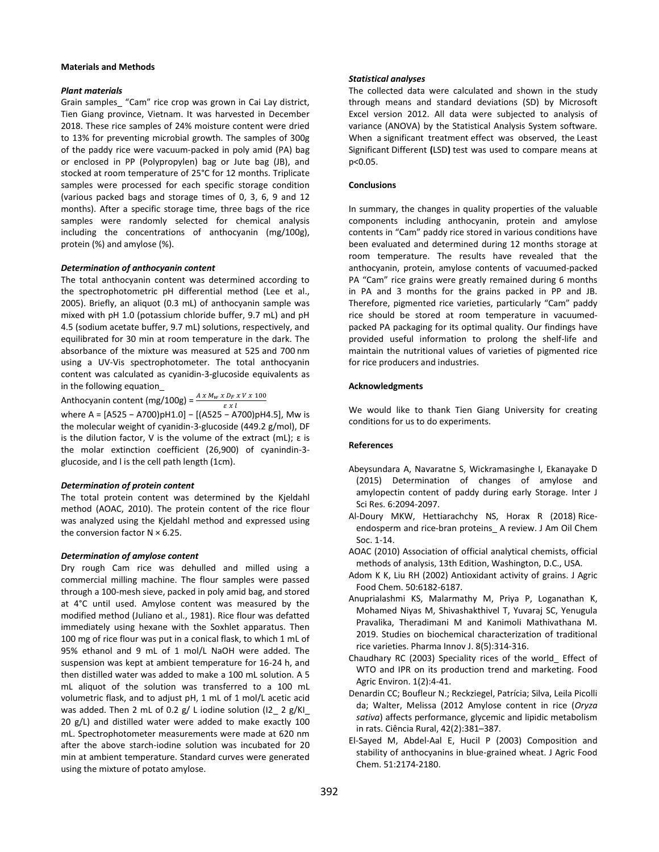## **Materials and Methods**

## *Plant materials*

Grain samples\_ "Cam" rice crop was grown in Cai Lay district, Tien Giang province, Vietnam. It was harvested in December 2018. These rice samples of 24% moisture content were dried to 13% for preventing microbial growth. The samples of 300g of the paddy rice were vacuum‐packed in poly amid (PA) bag or enclosed in PP (Polypropylen) bag or Jute bag (JB), and stocked at room temperature of 25°C for 12 months. Triplicate samples were processed for each specific storage condition (various packed bags and storage times of 0, 3, 6, 9 and 12 months). After a specific storage time, three bags of the rice samples were randomly selected for chemical analysis including the concentrations of anthocyanin (mg/100g), protein (%) and amylose (%).

## *Determination of anthocyanin content*

The total anthocyanin content was determined according to the spectrophotometric pH differential method (Lee et al., 2005). Briefly, an aliquot (0.3 mL) of anthocyanin sample was mixed with pH 1.0 (potassium chloride buffer, 9.7 mL) and pH 4.5 (sodium acetate buffer, 9.7 mL) solutions, respectively, and equilibrated for 30 min at room temperature in the dark. The absorbance of the mixture was measured at 525 and 700 nm using a UV-Vis spectrophotometer. The total anthocyanin content was calculated as cyanidin-3-glucoside equivalents as in the following equation

Anthocyanin content (mg/100g) =  $\frac{A X M_W X}{\varepsilon}$ 

where A =  $[A525 - A700]pH1.0] - [(A525 - A700)pH4.5]$ , Mw is the molecular weight of cyanidin-3-glucoside (449.2 g/mol), DF is the dilution factor, V is the volume of the extract (mL);  $\varepsilon$  is the molar extinction coefficient (26,900) of cyanindin-3 glucoside, and l is the cell path length (1cm).

## *Determination of protein content*

The total protein content was determined by the Kjeldahl method (AOAC, 2010). The protein content of the rice flour was analyzed using the Kjeldahl method and expressed using the conversion factor  $N \times 6.25$ .

### *Determination of amylose content*

Dry rough Cam rice was dehulled and milled using a commercial milling machine. The flour samples were passed through a 100-mesh sieve, packed in poly amid bag, and stored at 4°C until used. Amylose content was measured by the modified method (Juliano et al., 1981). Rice flour was defatted immediately using hexane with the Soxhlet apparatus. Then 100 mg of rice flour was put in a conical flask, to which 1 mL of 95% ethanol and 9 mL of 1 mol/L NaOH were added. The suspension was kept at ambient temperature for 16-24 h, and then distilled water was added to make a 100 mL solution. A 5 mL aliquot of the solution was transferred to a 100 mL volumetric flask, and to adjust pH, 1 mL of 1 mol/L acetic acid was added. Then 2 mL of 0.2 g/ L iodine solution (I2\_ 2 g/KI\_ 20 g/L) and distilled water were added to make exactly 100 mL. Spectrophotometer measurements were made at 620 nm after the above starch-iodine solution was incubated for 20 min at ambient temperature. Standard curves were generated using the mixture of potato amylose.

## *Statistical analyses*

The collected data were calculated and shown in the study through means and standard deviations (SD) by Microsoft Excel version 2012. All data were subjected to analysis of variance (ANOVA) by the Statistical Analysis System software. When a significant treatment effect was observed, the Least Significant Different **(**LSD**)** test was used to compare means at p<0.05.

## **Conclusions**

In summary, the changes in quality properties of the valuable components including anthocyanin, protein and amylose contents in "Cam" paddy rice stored in various conditions have been evaluated and determined during 12 months storage at room temperature. The results have revealed that the anthocyanin, protein, amylose contents of vacuumed-packed PA "Cam" rice grains were greatly remained during 6 months in PA and 3 months for the grains packed in PP and JB. Therefore, pigmented rice varieties, particularly "Cam" paddy rice should be stored at room temperature in vacuumedpacked PA packaging for its optimal quality. Our findings have provided useful information to prolong the shelf-life and maintain the nutritional values of varieties of pigmented rice for rice producers and industries.

## **Acknowledgments**

We would like to thank Tien Giang University for creating conditions for us to do experiments.

## **References**

- Abeysundara A, Navaratne S, Wickramasinghe I, Ekanayake D (2015) Determination of changes of amylose and amylopectin content of paddy during early Storage. Inter J Sci Res. 6:2094-2097.
- Al-Doury MKW, Hettiarachchy NS, Horax R (2018) Riceendosperm and rice-bran proteins\_ A review. J Am Oil Chem Soc. 1-14.
- AOAC (2010) Association of official analytical chemists, official methods of analysis, 13th Edition, Washington, D.C., USA.
- Adom K K, Liu RH (2002) Antioxidant activity of grains. J Agric Food Chem. 50:6182-6187.
- Anuprialashmi KS, Malarmathy M, Priya P, Loganathan K, Mohamed Niyas M, Shivashakthivel T, Yuvaraj SC, Yenugula Pravalika, Theradimani M and Kanimoli Mathivathana M. 2019. Studies on biochemical characterization of traditional rice varieties. Pharma Innov J. 8(5):314-316.
- Chaudhary RC (2003) Speciality rices of the world\_ Effect of WTO and IPR on its production trend and marketing. Food Agric Environ. 1(2):4-41.
- Denardin CC; Boufleur N.; Reckziegel, Patrícia; Silva, Leila Picolli da; Walter, Melissa (2012 Amylose content in rice (*Oryza sativa*) affects performance, glycemic and lipidic metabolism in rats. Ciência Rural, 42(2):381–387.
- El-Sayed M, Abdel-Aal E, Hucil P (2003) Composition and stability of anthocyanins in blue-grained wheat. J Agric Food Chem. 51:2174-2180.